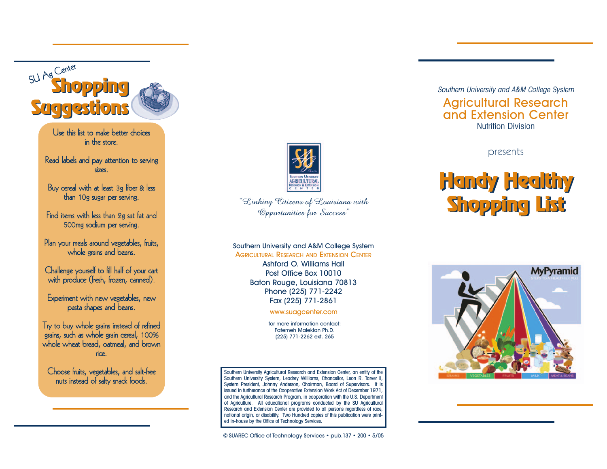

Use this list to make better choices i i n the store.

Read labels and pay attention to serving l l i i sizes. i

Buy cereal with at least 3g fiber & less l i l f i l than 10g sugar per serving. i

Find items with less than 2g sat fat and i i i l f 500mg sodium per serving. i i

Plan your meals around vegetables, fruits, l l l f i whole grains and beans. l i

Challenge yourself to fill half of your cart l l l f i l l l with produce (fresh, frozen, canned). i f

Experiment with new vegetables, new i i l pasta shapes and beans.

Try to buy whole grains instead of refined l i i f i grains, such as whole grain cereal, 100% i l i l whole wheat bread, oatmeal, and brown l l rice. i

Choose fruits, vegetables, and salt-free i l l f nuts instead of salty snack foods. i l f



"Linking Citizens of Louisiana with Opportunities for Success"

Southern University and A&M College System AGRICULTURAL RESEARCH AND EXTENSION CENTER

> Ashford O. Williams Hall Post Office Box 10010 Baton Rouge, Louisiana 70813 Phone (225) 771-2242 Fax (225) 771-2861

> > www.suagcenter.com

for more information contact: Fatemeh Malekian Ph.D. (225) 771-2262 ext. 265

Southern University Agricultural Research and Extension Center, an entity of the Southern University System, Leodrey Williams, Chancellor, Leon R. Tarver II, System President, Johnny Anderson, Chairman, Board of Supervisors. It is issued in furtherance of the Cooperative Extension Work Act of December 1971, and the Agricultural Research Program, in cooperation with the U.S. Department of Agriculture. All educational programs conducted by the SU Agricultural Research and Extension Center are provided to all persons regardless of race, national origin, or disability. Two Hundred copies of this publication were printed in-house by the Office of Technology Services.

© SUAREC Office of Technology Services • pub.137 • 200 • 5/05

Southern University and A&M College System Agricultural Research and Extension Center Nutrition Division

presents